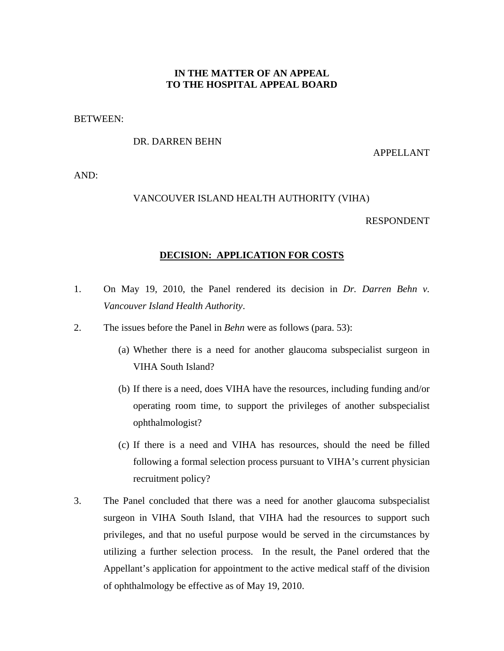# **IN THE MATTER OF AN APPEAL TO THE HOSPITAL APPEAL BOARD**

### BETWEEN:

## DR. DARREN BEHN

#### APPELLANT

AND:

# VANCOUVER ISLAND HEALTH AUTHORITY (VIHA)

#### RESPONDENT

#### **DECISION: APPLICATION FOR COSTS**

- 1. On May 19, 2010, the Panel rendered its decision in *Dr. Darren Behn v. Vancouver Island Health Authority*.
- 2. The issues before the Panel in *Behn* were as follows (para. 53):
	- (a) Whether there is a need for another glaucoma subspecialist surgeon in VIHA South Island?
	- (b) If there is a need, does VIHA have the resources, including funding and/or operating room time, to support the privileges of another subspecialist ophthalmologist?
	- (c) If there is a need and VIHA has resources, should the need be filled following a formal selection process pursuant to VIHA's current physician recruitment policy?
- 3. The Panel concluded that there was a need for another glaucoma subspecialist surgeon in VIHA South Island, that VIHA had the resources to support such privileges, and that no useful purpose would be served in the circumstances by utilizing a further selection process. In the result, the Panel ordered that the Appellant's application for appointment to the active medical staff of the division of ophthalmology be effective as of May 19, 2010.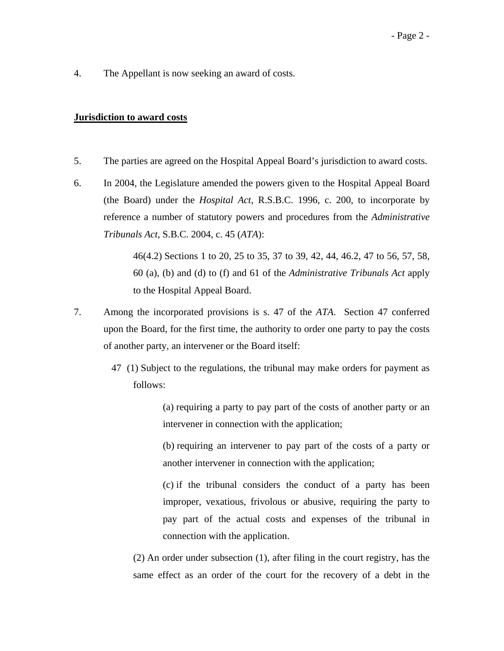4. The Appellant is now seeking an award of costs.

# **Jurisdiction to award costs**

- 5. The parties are agreed on the Hospital Appeal Board's jurisdiction to award costs.
- 6. In 2004, the Legislature amended the powers given to the Hospital Appeal Board (the Board) under the *Hospital Act*, R.S.B.C. 1996, c. 200, to incorporate by reference a number of statutory powers and procedures from the *Administrative Tribunals Act*, S.B.C. 2004, c. 45 (*ATA*):

46(4.2) Sections 1 to 20, 25 to 35, 37 to 39, 42, 44, 46.2, 47 to 56, 57, 58, 60 (a), (b) and (d) to (f) and 61 of the *Administrative Tribunals Act* apply to the Hospital Appeal Board.

- 7. Among the incorporated provisions is s. 47 of the *ATA*. Section 47 conferred upon the Board, for the first time, the authority to order one party to pay the costs of another party, an intervener or the Board itself:
	- 47 (1) Subject to the regulations, the tribunal may make orders for payment as follows:

(a) requiring a party to pay part of the costs of another party or an intervener in connection with the application;

(b) requiring an intervener to pay part of the costs of a party or another intervener in connection with the application;

(c) if the tribunal considers the conduct of a party has been improper, vexatious, frivolous or abusive, requiring the party to pay part of the actual costs and expenses of the tribunal in connection with the application.

(2) An order under subsection (1), after filing in the court registry, has the same effect as an order of the court for the recovery of a debt in the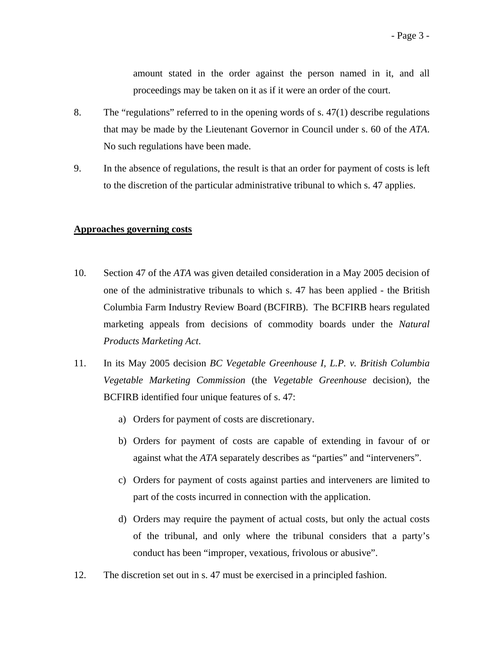amount stated in the order against the person named in it, and all proceedings may be taken on it as if it were an order of the court.

- 8. The "regulations" referred to in the opening words of s. 47(1) describe regulations that may be made by the Lieutenant Governor in Council under s. 60 of the *ATA*. No such regulations have been made.
- 9. In the absence of regulations, the result is that an order for payment of costs is left to the discretion of the particular administrative tribunal to which s. 47 applies.

## **Approaches governing costs**

- 10. Section 47 of the *ATA* was given detailed consideration in a May 2005 decision of one of the administrative tribunals to which s. 47 has been applied - the British Columbia Farm Industry Review Board (BCFIRB). The BCFIRB hears regulated marketing appeals from decisions of commodity boards under the *Natural Products Marketing Act*.
- 11. In its May 2005 decision *BC Vegetable Greenhouse I, L.P. v. British Columbia Vegetable Marketing Commission* (the *Vegetable Greenhouse* decision), the BCFIRB identified four unique features of s. 47:
	- a) Orders for payment of costs are discretionary.
	- b) Orders for payment of costs are capable of extending in favour of or against what the *ATA* separately describes as "parties" and "interveners".
	- c) Orders for payment of costs against parties and interveners are limited to part of the costs incurred in connection with the application.
	- d) Orders may require the payment of actual costs, but only the actual costs of the tribunal, and only where the tribunal considers that a party's conduct has been "improper, vexatious, frivolous or abusive".
- 12. The discretion set out in s. 47 must be exercised in a principled fashion.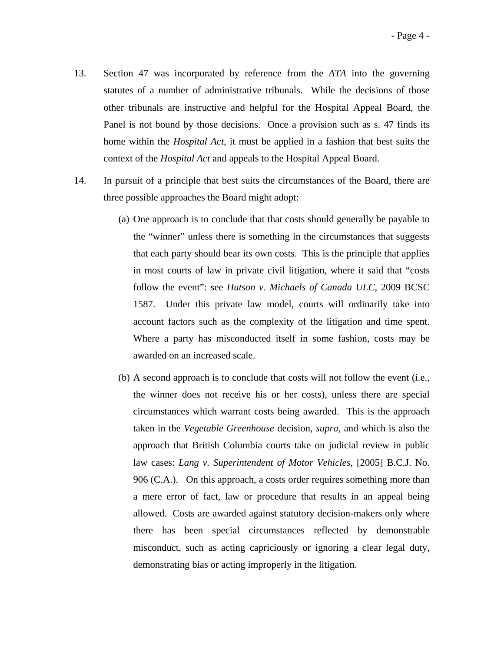- 13. Section 47 was incorporated by reference from the *ATA* into the governing statutes of a number of administrative tribunals. While the decisions of those other tribunals are instructive and helpful for the Hospital Appeal Board, the Panel is not bound by those decisions. Once a provision such as s. 47 finds its home within the *Hospital Act*, it must be applied in a fashion that best suits the context of the *Hospital Act* and appeals to the Hospital Appeal Board.
- 14. In pursuit of a principle that best suits the circumstances of the Board, there are three possible approaches the Board might adopt:
	- (a) One approach is to conclude that that costs should generally be payable to the "winner" unless there is something in the circumstances that suggests that each party should bear its own costs. This is the principle that applies in most courts of law in private civil litigation, where it said that "costs follow the event": see *Hutson v. Michaels of Canada ULC*, 2009 BCSC 1587. Under this private law model, courts will ordinarily take into account factors such as the complexity of the litigation and time spent. Where a party has misconducted itself in some fashion, costs may be awarded on an increased scale.
	- (b) A second approach is to conclude that costs will not follow the event (i.e., the winner does not receive his or her costs), unless there are special circumstances which warrant costs being awarded. This is the approach taken in the *Vegetable Greenhouse* decision, *supra,* and which is also the approach that British Columbia courts take on judicial review in public law cases: *Lang v. Superintendent of Motor Vehicles*, [2005] B.C.J. No. 906 (C.A.). On this approach, a costs order requires something more than a mere error of fact, law or procedure that results in an appeal being allowed. Costs are awarded against statutory decision-makers only where there has been special circumstances reflected by demonstrable misconduct, such as acting capriciously or ignoring a clear legal duty, demonstrating bias or acting improperly in the litigation.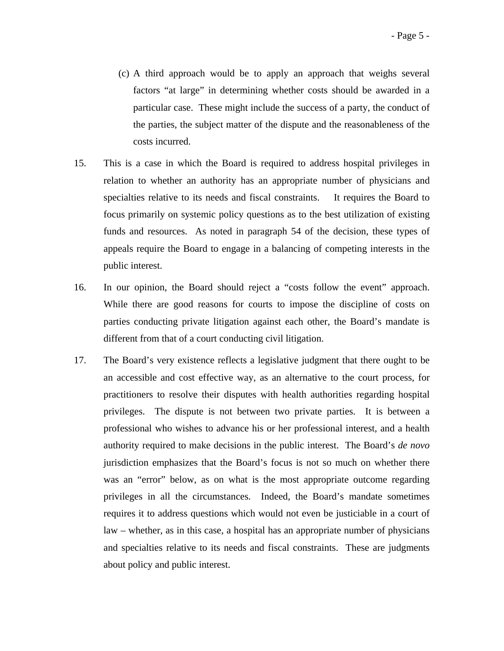- (c) A third approach would be to apply an approach that weighs several factors "at large" in determining whether costs should be awarded in a particular case. These might include the success of a party, the conduct of the parties, the subject matter of the dispute and the reasonableness of the costs incurred.
- 15. This is a case in which the Board is required to address hospital privileges in relation to whether an authority has an appropriate number of physicians and specialties relative to its needs and fiscal constraints. It requires the Board to focus primarily on systemic policy questions as to the best utilization of existing funds and resources. As noted in paragraph 54 of the decision, these types of appeals require the Board to engage in a balancing of competing interests in the public interest.
- 16. In our opinion, the Board should reject a "costs follow the event" approach. While there are good reasons for courts to impose the discipline of costs on parties conducting private litigation against each other, the Board's mandate is different from that of a court conducting civil litigation.
- 17. The Board's very existence reflects a legislative judgment that there ought to be an accessible and cost effective way, as an alternative to the court process, for practitioners to resolve their disputes with health authorities regarding hospital privileges. The dispute is not between two private parties. It is between a professional who wishes to advance his or her professional interest, and a health authority required to make decisions in the public interest. The Board's *de novo* jurisdiction emphasizes that the Board's focus is not so much on whether there was an "error" below, as on what is the most appropriate outcome regarding privileges in all the circumstances. Indeed, the Board's mandate sometimes requires it to address questions which would not even be justiciable in a court of law – whether, as in this case, a hospital has an appropriate number of physicians and specialties relative to its needs and fiscal constraints. These are judgments about policy and public interest.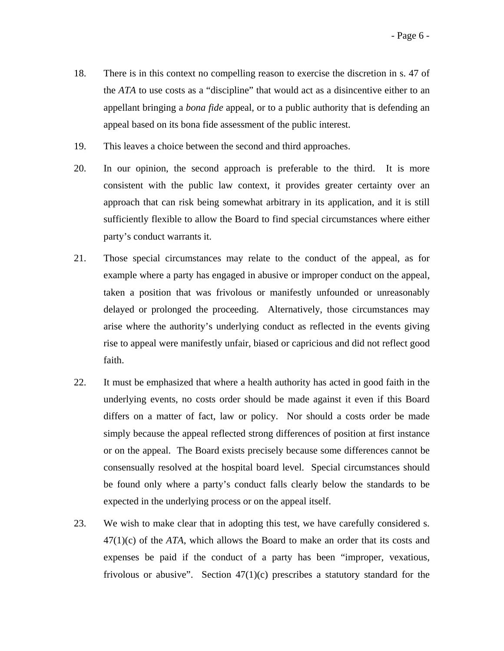- 18. There is in this context no compelling reason to exercise the discretion in s. 47 of the *ATA* to use costs as a "discipline" that would act as a disincentive either to an appellant bringing a *bona fide* appeal, or to a public authority that is defending an appeal based on its bona fide assessment of the public interest.
- 19. This leaves a choice between the second and third approaches.
- 20. In our opinion, the second approach is preferable to the third. It is more consistent with the public law context, it provides greater certainty over an approach that can risk being somewhat arbitrary in its application, and it is still sufficiently flexible to allow the Board to find special circumstances where either party's conduct warrants it.
- 21. Those special circumstances may relate to the conduct of the appeal, as for example where a party has engaged in abusive or improper conduct on the appeal, taken a position that was frivolous or manifestly unfounded or unreasonably delayed or prolonged the proceeding. Alternatively, those circumstances may arise where the authority's underlying conduct as reflected in the events giving rise to appeal were manifestly unfair, biased or capricious and did not reflect good faith.
- 22. It must be emphasized that where a health authority has acted in good faith in the underlying events, no costs order should be made against it even if this Board differs on a matter of fact, law or policy. Nor should a costs order be made simply because the appeal reflected strong differences of position at first instance or on the appeal. The Board exists precisely because some differences cannot be consensually resolved at the hospital board level. Special circumstances should be found only where a party's conduct falls clearly below the standards to be expected in the underlying process or on the appeal itself.
- 23. We wish to make clear that in adopting this test, we have carefully considered s. 47(1)(c) of the *ATA*, which allows the Board to make an order that its costs and expenses be paid if the conduct of a party has been "improper, vexatious, frivolous or abusive". Section  $47(1)(c)$  prescribes a statutory standard for the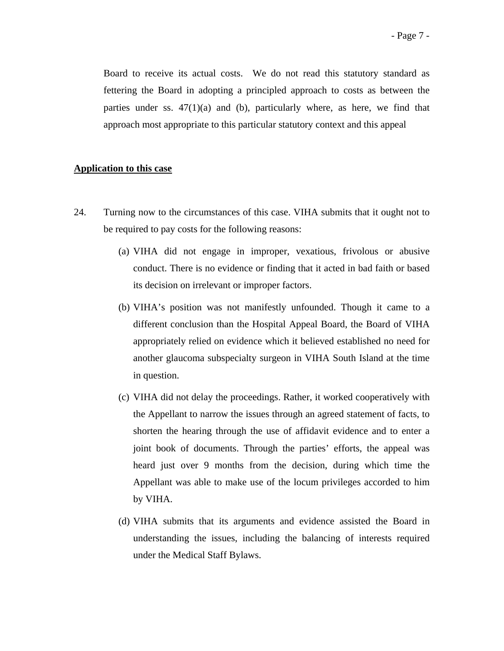Board to receive its actual costs. We do not read this statutory standard as fettering the Board in adopting a principled approach to costs as between the parties under ss.  $47(1)(a)$  and (b), particularly where, as here, we find that approach most appropriate to this particular statutory context and this appeal

# **Application to this case**

- 24. Turning now to the circumstances of this case. VIHA submits that it ought not to be required to pay costs for the following reasons:
	- (a) VIHA did not engage in improper, vexatious, frivolous or abusive conduct. There is no evidence or finding that it acted in bad faith or based its decision on irrelevant or improper factors.
	- (b) VIHA's position was not manifestly unfounded. Though it came to a different conclusion than the Hospital Appeal Board, the Board of VIHA appropriately relied on evidence which it believed established no need for another glaucoma subspecialty surgeon in VIHA South Island at the time in question.
	- (c) VIHA did not delay the proceedings. Rather, it worked cooperatively with the Appellant to narrow the issues through an agreed statement of facts, to shorten the hearing through the use of affidavit evidence and to enter a joint book of documents. Through the parties' efforts, the appeal was heard just over 9 months from the decision, during which time the Appellant was able to make use of the locum privileges accorded to him by VIHA.
	- (d) VIHA submits that its arguments and evidence assisted the Board in understanding the issues, including the balancing of interests required under the Medical Staff Bylaws.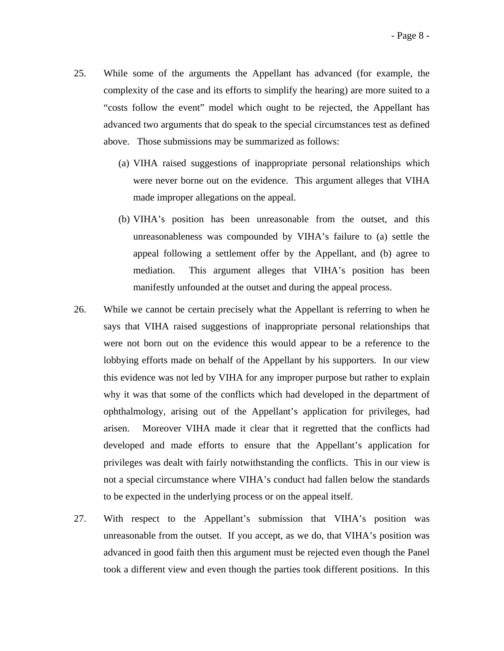- 25. While some of the arguments the Appellant has advanced (for example, the complexity of the case and its efforts to simplify the hearing) are more suited to a "costs follow the event" model which ought to be rejected, the Appellant has advanced two arguments that do speak to the special circumstances test as defined above. Those submissions may be summarized as follows:
	- (a) VIHA raised suggestions of inappropriate personal relationships which were never borne out on the evidence. This argument alleges that VIHA made improper allegations on the appeal.
	- (b) VIHA's position has been unreasonable from the outset, and this unreasonableness was compounded by VIHA's failure to (a) settle the appeal following a settlement offer by the Appellant, and (b) agree to mediation. This argument alleges that VIHA's position has been manifestly unfounded at the outset and during the appeal process.
- 26. While we cannot be certain precisely what the Appellant is referring to when he says that VIHA raised suggestions of inappropriate personal relationships that were not born out on the evidence this would appear to be a reference to the lobbying efforts made on behalf of the Appellant by his supporters. In our view this evidence was not led by VIHA for any improper purpose but rather to explain why it was that some of the conflicts which had developed in the department of ophthalmology, arising out of the Appellant's application for privileges, had arisen. Moreover VIHA made it clear that it regretted that the conflicts had developed and made efforts to ensure that the Appellant's application for privileges was dealt with fairly notwithstanding the conflicts. This in our view is not a special circumstance where VIHA's conduct had fallen below the standards to be expected in the underlying process or on the appeal itself.
- 27. With respect to the Appellant's submission that VIHA's position was unreasonable from the outset. If you accept, as we do, that VIHA's position was advanced in good faith then this argument must be rejected even though the Panel took a different view and even though the parties took different positions. In this